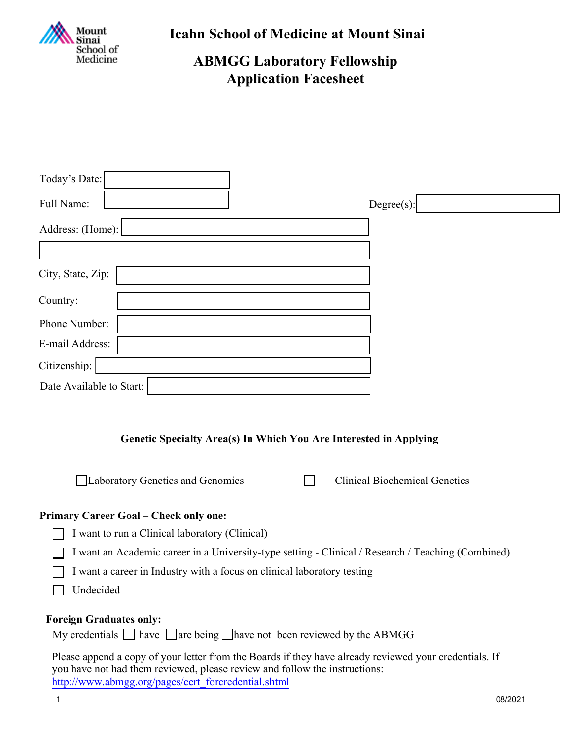

**Icahn School of Medicine at Mount Sinai**

# **ABMGG Laboratory Fellowship Application Facesheet**

| Today's Date:                                                                                                                                                                        |
|--------------------------------------------------------------------------------------------------------------------------------------------------------------------------------------|
| $Degree(s)$ :<br>Full Name:                                                                                                                                                          |
| Address: (Home):                                                                                                                                                                     |
|                                                                                                                                                                                      |
| City, State, Zip:                                                                                                                                                                    |
| Country:                                                                                                                                                                             |
| Phone Number:                                                                                                                                                                        |
| E-mail Address:                                                                                                                                                                      |
| Citizenship:                                                                                                                                                                         |
| Date Available to Start:                                                                                                                                                             |
| Genetic Specialty Area(s) In Which You Are Interested in Applying<br>Laboratory Genetics and Genomics<br><b>Clinical Biochemical Genetics</b>                                        |
| <b>Primary Career Goal - Check only one:</b>                                                                                                                                         |
| I want to run a Clinical laboratory (Clinical)                                                                                                                                       |
| I want an Academic career in a University-type setting - Clinical / Research / Teaching (Combined)                                                                                   |
| I want a career in Industry with a focus on clinical laboratory testing<br>Undecided                                                                                                 |
| <b>Foreign Graduates only:</b><br>My credentials $\Box$ have $\Box$ are being $\Box$ have not been reviewed by the ABMGG                                                             |
| Please append a copy of your letter from the Boards if they have already reviewed your credentials. If<br>you have not had them reviewed, please review and follow the instructions: |

[http://www.abmgg.org/pages/cert\\_forcredential.shtml](http://www.abmgg.org/pages/cert_forcredential.shtml)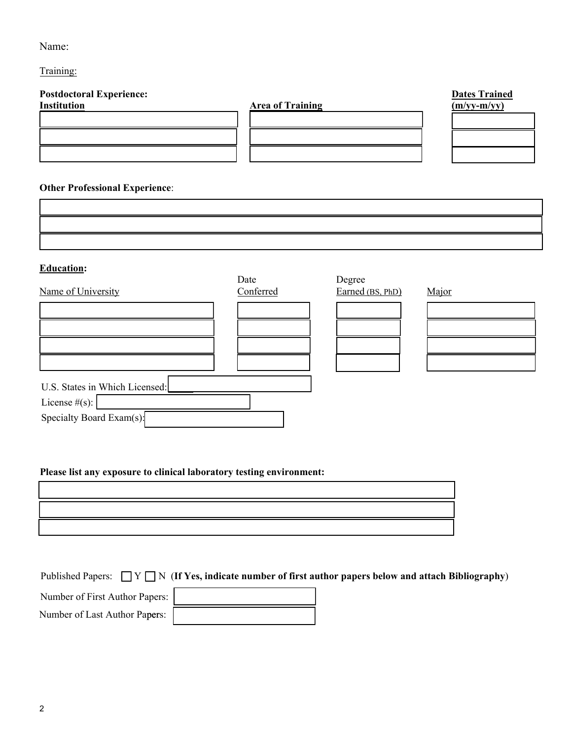## Name:

Training:

| <b>Postdoctoral Experience:</b> |                         | <b>Dates Trained</b> |
|---------------------------------|-------------------------|----------------------|
| Institution                     | <b>Area of Training</b> | $(m/vy-m/vy)$        |
|                                 |                         |                      |
|                                 |                         |                      |
|                                 |                         |                      |
|                                 |                         |                      |

## **Other Professional Experience**:

| <b>Education:</b>              |           |                  |       |
|--------------------------------|-----------|------------------|-------|
|                                | Date      | Degree           |       |
| Name of University             | Conferred | Earned (BS, PhD) | Major |
|                                |           |                  |       |
|                                |           |                  |       |
|                                |           |                  |       |
|                                |           |                  |       |
| U.S. States in Which Licensed: |           |                  |       |
| License $#(s)$ :               |           |                  |       |
| Specialty Board Exam(s):       |           |                  |       |

#### **Please list any exposure to clinical laboratory testing environment:**

Published Papers:  $\Box Y \Box N$  (If Yes, indicate number of first author papers below and attach Bibliography)

Number of First Author Papers:

Number of Last Author Papers: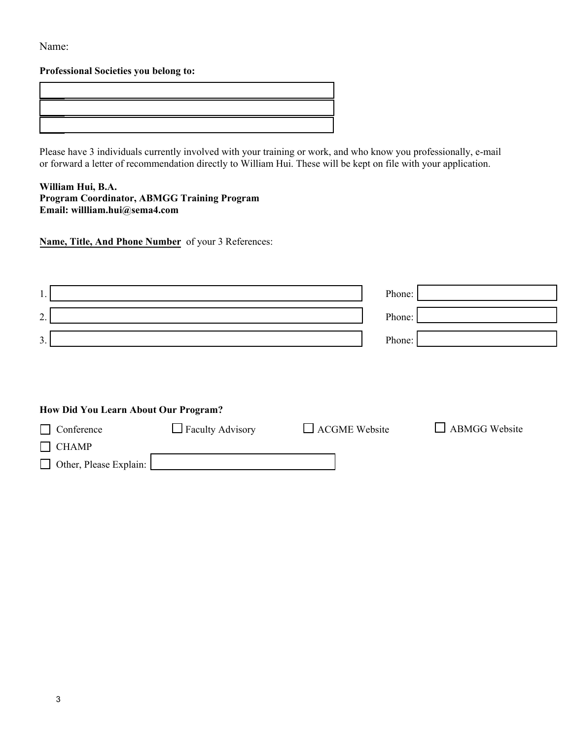Name:

#### **Professional Societies you belong to:**

Please have 3 individuals currently involved with your training or work, and who know you professionally, e-mail or forward a letter of recommendation directly to William Hui. These will be kept on file with your application.

**William Hui, B.A. Program Coordinator, ABMGG Training Program Email: willliam.hui@sema4.com**

**Name, Title, And Phone Number** of your 3 References:

| . .                                  | Phone: |
|--------------------------------------|--------|
| $\Omega$<br>$\overline{\phantom{a}}$ | Phone: |
| 3.                                   | Phone: |

### **How Did You Learn About Our Program?**

| Conference             | $\Box$ Faculty Advisory | $\Box$ ACGME Website | <b>ABMGG Website</b> |
|------------------------|-------------------------|----------------------|----------------------|
| $\Box$ CHAMP           |                         |                      |                      |
| Other, Please Explain: |                         |                      |                      |
|                        |                         |                      |                      |